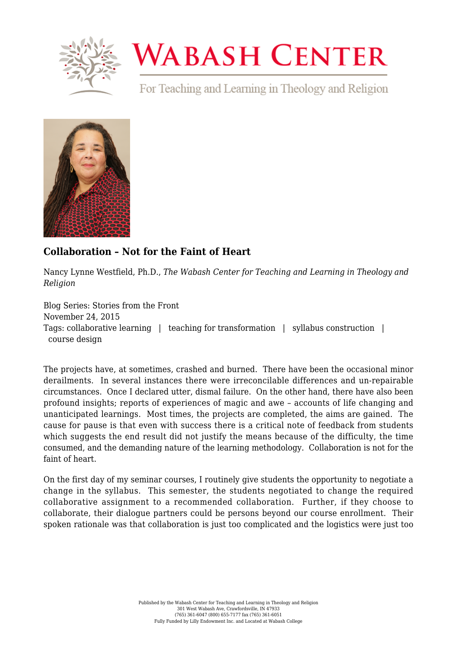

## **WABASH CENTER**

For Teaching and Learning in Theology and Religion



## **[Collaboration – Not for the Faint of Heart](https://www.wabashcenter.wabash.edu/2015/11/collaboration-not-for-the-faint-of-heart/)**

Nancy Lynne Westfield, Ph.D., *The Wabash Center for Teaching and Learning in Theology and Religion*

Blog Series: Stories from the Front November 24, 2015 Tags: collaborative learning | teaching for transformation | syllabus construction | course design

The projects have, at sometimes, crashed and burned. There have been the occasional minor derailments. In several instances there were irreconcilable differences and un-repairable circumstances. Once I declared utter, dismal failure. On the other hand, there have also been profound insights; reports of experiences of magic and awe – accounts of life changing and unanticipated learnings. Most times, the projects are completed, the aims are gained. The cause for pause is that even with success there is a critical note of feedback from students which suggests the end result did not justify the means because of the difficulty, the time consumed, and the demanding nature of the learning methodology. Collaboration is not for the faint of heart.

On the first day of my seminar courses, I routinely give students the opportunity to negotiate a change in the syllabus. This semester, the students negotiated to change the required collaborative assignment to a recommended collaboration. Further, if they choose to collaborate, their dialogue partners could be persons beyond our course enrollment. Their spoken rationale was that collaboration is just too complicated and the logistics were just too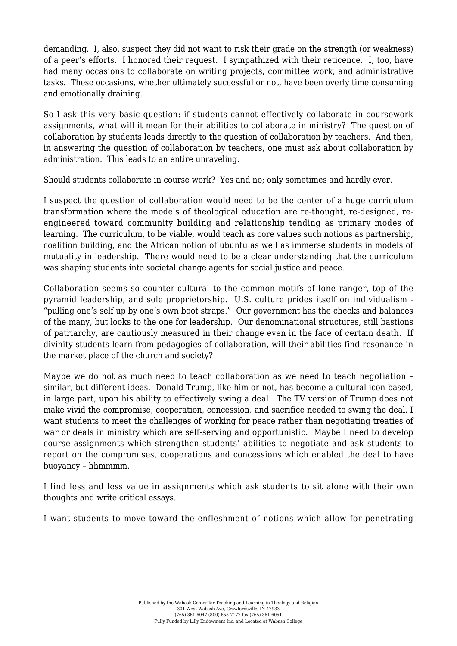demanding. I, also, suspect they did not want to risk their grade on the strength (or weakness) of a peer's efforts. I honored their request. I sympathized with their reticence. I, too, have had many occasions to collaborate on writing projects, committee work, and administrative tasks. These occasions, whether ultimately successful or not, have been overly time consuming and emotionally draining.

So I ask this very basic question: if students cannot effectively collaborate in coursework assignments, what will it mean for their abilities to collaborate in ministry? The question of collaboration by students leads directly to the question of collaboration by teachers. And then, in answering the question of collaboration by teachers, one must ask about collaboration by administration. This leads to an entire unraveling.

Should students collaborate in course work? Yes and no; only sometimes and hardly ever.

I suspect the question of collaboration would need to be the center of a huge curriculum transformation where the models of theological education are re-thought, re-designed, reengineered toward community building and relationship tending as primary modes of learning. The curriculum, to be viable, would teach as core values such notions as partnership, coalition building, and the African notion of ubuntu as well as immerse students in models of mutuality in leadership. There would need to be a clear understanding that the curriculum was shaping students into societal change agents for social justice and peace.

Collaboration seems so counter-cultural to the common motifs of lone ranger, top of the pyramid leadership, and sole proprietorship. U.S. culture prides itself on individualism - "pulling one's self up by one's own boot straps." Our government has the checks and balances of the many, but looks to the one for leadership. Our denominational structures, still bastions of patriarchy, are cautiously measured in their change even in the face of certain death. If divinity students learn from pedagogies of collaboration, will their abilities find resonance in the market place of the church and society?

Maybe we do not as much need to teach collaboration as we need to teach negotiation – similar, but different ideas. Donald Trump, like him or not, has become a cultural icon based, in large part, upon his ability to effectively swing a deal. The TV version of Trump does not make vivid the compromise, cooperation, concession, and sacrifice needed to swing the deal. I want students to meet the challenges of working for peace rather than negotiating treaties of war or deals in ministry which are self-serving and opportunistic. Maybe I need to develop course assignments which strengthen students' abilities to negotiate and ask students to report on the compromises, cooperations and concessions which enabled the deal to have buoyancy – hhmmmm.

I find less and less value in assignments which ask students to sit alone with their own thoughts and write critical essays.

I want students to move toward the enfleshment of notions which allow for penetrating